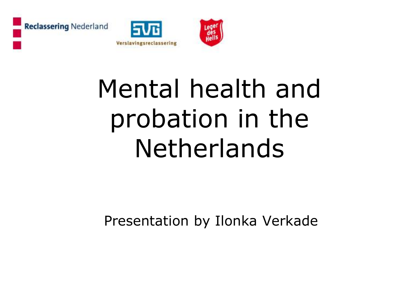





# Mental health and probation in the Netherlands

Presentation by Ilonka Verkade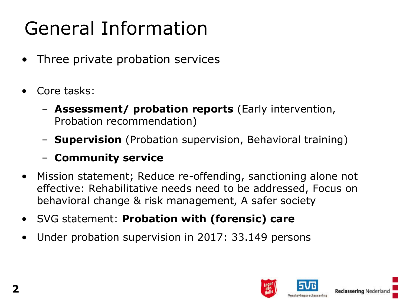## General Information

- Three private probation services
- Core tasks:
	- **Assessment/ probation reports** (Early intervention, Probation recommendation)
	- **Supervision** (Probation supervision, Behavioral training)

#### – **Community service**

- Mission statement; Reduce re-offending, sanctioning alone not effective: Rehabilitative needs need to be addressed, Focus on behavioral change & risk management, A safer society
- SVG statement: **Probation with (forensic) care**
- Under probation supervision in 2017: 33.149 persons

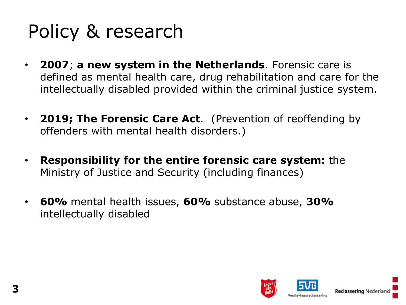#### Policy & research

- **2007**; **a new system in the Netherlands**. Forensic care is defined as mental health care, drug rehabilitation and care for the intellectually disabled provided within the criminal justice system.
- **2019; The Forensic Care Act**. (Prevention of reoffending by offenders with mental health disorders.)
- **Responsibility for the entire forensic care system:** the Ministry of Justice and Security (including finances)
- **60%** mental health issues, **60%** substance abuse, **30%**  intellectually disabled

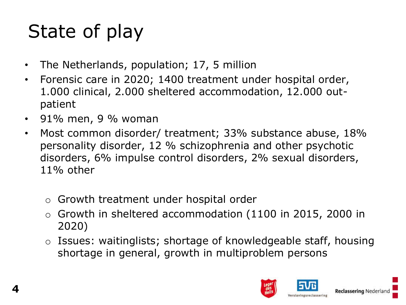## State of play

- The Netherlands, population; 17, 5 million
- Forensic care in 2020; 1400 treatment under hospital order, 1.000 clinical, 2.000 sheltered accommodation, 12.000 outpatient
- 91% men, 9 % woman
- Most common disorder/ treatment; 33% substance abuse, 18% personality disorder, 12 % schizophrenia and other psychotic disorders, 6% impulse control disorders, 2% sexual disorders, 11% other
	- o Growth treatment under hospital order
	- Growth in sheltered accommodation (1100 in 2015, 2000 in 2020)
	- o Issues: waitinglists; shortage of knowledgeable staff, housing shortage in general, growth in multiproblem persons

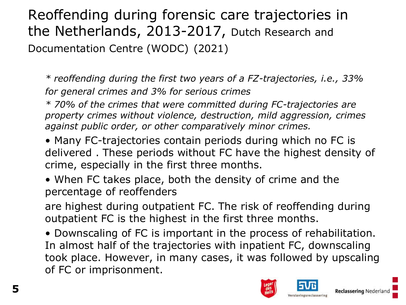#### Reoffending during forensic care trajectories in the Netherlands, 2013-2017, Dutch Research and Documentation Centre (WODC) (2021)

*\* reoffending during the first two years of a FZ-trajectories, i.e., 33% for general crimes and 3% for serious crimes*

*\* 70% of the crimes that were committed during FC-trajectories are property crimes without violence, destruction, mild aggression, crimes against public order, or other comparatively minor crimes.* 

• Many FC-trajectories contain periods during which no FC is delivered . These periods without FC have the highest density of crime, especially in the first three months.

• When FC takes place, both the density of crime and the percentage of reoffenders

are highest during outpatient FC. The risk of reoffending during outpatient FC is the highest in the first three months.

• Downscaling of FC is important in the process of rehabilitation. In almost half of the trajectories with inpatient FC, downscaling took place. However, in many cases, it was followed by upscaling of FC or imprisonment.